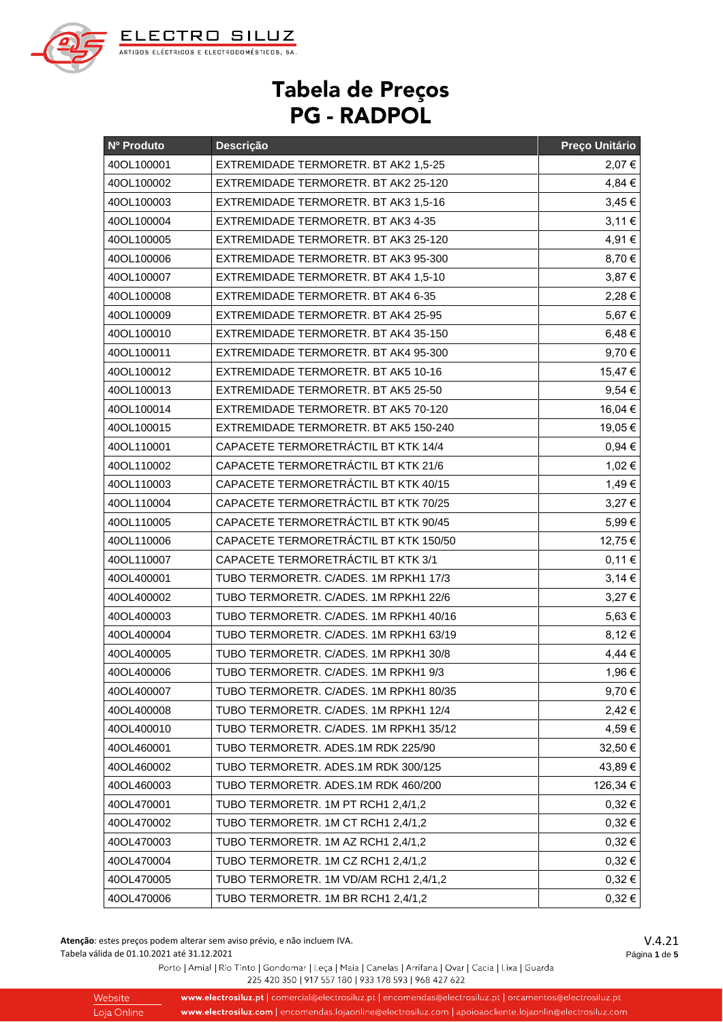

# Tabela de Preços **PG - RADPOL**

| Nº Produto | Descrição                              | Preço Unitário |
|------------|----------------------------------------|----------------|
| 40OL100001 | EXTREMIDADE TERMORETR. BT AK2 1,5-25   | 2,07€          |
| 40OL100002 | EXTREMIDADE TERMORETR, BT AK2 25-120   | 4,84 €         |
| 40OL100003 | EXTREMIDADE TERMORETR. BT AK3 1,5-16   | $3,45 \in$     |
| 40OL100004 | EXTREMIDADE TERMORETR. BT AK3 4-35     | $3,11 \in$     |
| 40OL100005 | EXTREMIDADE TERMORETR. BT AK3 25-120   | 4,91€          |
| 40OL100006 | EXTREMIDADE TERMORETR, BT AK3 95-300   | 8,70€          |
| 40OL100007 | EXTREMIDADE TERMORETR. BT AK4 1,5-10   | $3,87 \in$     |
| 40OL100008 | EXTREMIDADE TERMORETR. BT AK4 6-35     | 2,28€          |
| 40OL100009 | EXTREMIDADE TERMORETR. BT AK4 25-95    | 5,67€          |
| 40OL100010 | EXTREMIDADE TERMORETR. BT AK4 35-150   | 6,48€          |
| 40OL100011 | EXTREMIDADE TERMORETR. BT AK4 95-300   | 9,70€          |
| 40OL100012 | EXTREMIDADE TERMORETR. BT AK5 10-16    | 15,47€         |
| 40OL100013 | EXTREMIDADE TERMORETR. BT AK5 25-50    | $9,54 \in$     |
| 40OL100014 | EXTREMIDADE TERMORETR. BT AK5 70-120   | 16,04€         |
| 40OL100015 | EXTREMIDADE TERMORETR. BT AK5 150-240  | 19,05€         |
| 40OL110001 | CAPACETE TERMORETRÁCTIL BT KTK 14/4    | $0,94 \in$     |
| 40OL110002 | CAPACETE TERMORETRACTIL BT KTK 21/6    | 1,02€          |
| 40OL110003 | CAPACETE TERMORETRÁCTIL BT KTK 40/15   | 1,49€          |
| 40OL110004 | CAPACETE TERMORETRÁCTIL BT KTK 70/25   | 3,27€          |
| 40OL110005 | CAPACETE TERMORETRÁCTIL BT KTK 90/45   | 5,99€          |
| 40OL110006 | CAPACETE TERMORETRÁCTIL BT KTK 150/50  | 12,75€         |
| 40OL110007 | CAPACETE TERMORETRÁCTIL BT KTK 3/1     | 0,11€          |
| 40OL400001 | TUBO TERMORETR. C/ADES. 1M RPKH1 17/3  | $3,14 \in$     |
| 40OL400002 | TUBO TERMORETR. C/ADES. 1M RPKH1 22/6  | 3,27€          |
| 40OL400003 | TUBO TERMORETR. C/ADES. 1M RPKH1 40/16 | 5,63€          |
| 40OL400004 | TUBO TERMORETR. C/ADES. 1M RPKH1 63/19 | 8,12€          |
| 40OL400005 | TUBO TERMORETR, C/ADES, 1M RPKH1 30/8  | $4,44$ €       |
| 40OL400006 | TUBO TERMORETR. C/ADES. 1M RPKH1 9/3   | 1,96 €         |
| 40OL400007 | TUBO TERMORETR. C/ADES. 1M RPKH1 80/35 | 9,70€          |
| 40OL400008 | TUBO TERMORETR. C/ADES. 1M RPKH1 12/4  | 2,42€          |
| 40OL400010 | TUBO TERMORETR. C/ADES. 1M RPKH1 35/12 | 4,59€          |
| 40OL460001 | TUBO TERMORETR. ADES.1M RDK 225/90     | 32,50 €        |
| 40OL460002 | TUBO TERMORETR. ADES.1M RDK 300/125    | 43,89€         |
| 40OL460003 | TUBO TERMORETR. ADES.1M RDK 460/200    | 126,34 €       |
| 40OL470001 | TUBO TERMORETR. 1M PT RCH1 2,4/1,2     | $0,32 \in$     |
| 40OL470002 | TUBO TERMORETR. 1M CT RCH1 2,4/1,2     | $0,32 \in$     |
| 40OL470003 | TUBO TERMORETR. 1M AZ RCH1 2,4/1,2     | $0,32 \in$     |
| 40OL470004 | TUBO TERMORETR. 1M CZ RCH1 2,4/1,2     | $0,32 \in$     |
| 40OL470005 | TUBO TERMORETR. 1M VD/AM RCH1 2,4/1,2  | $0,32 \in$     |
| 40OL470006 | TUBO TERMORETR. 1M BR RCH1 2,4/1,2     | $0,32 \in$     |

**Atenção**: estes preços podem alterar sem aviso prévio, e não incluem IVA. Tabela válida de 01.10.2021 até 31.12.2021

V.4.21 Página **1** de **5**

### Porto | Amial | Rio Tinto | Gondomar | Leça | Maia | Canelas | Arrifana | Ovar | Cacia | Lixa | Guarda 225 420 350 | 917 557 180 | 933 178 593 | 968 427 622

Website Loja Online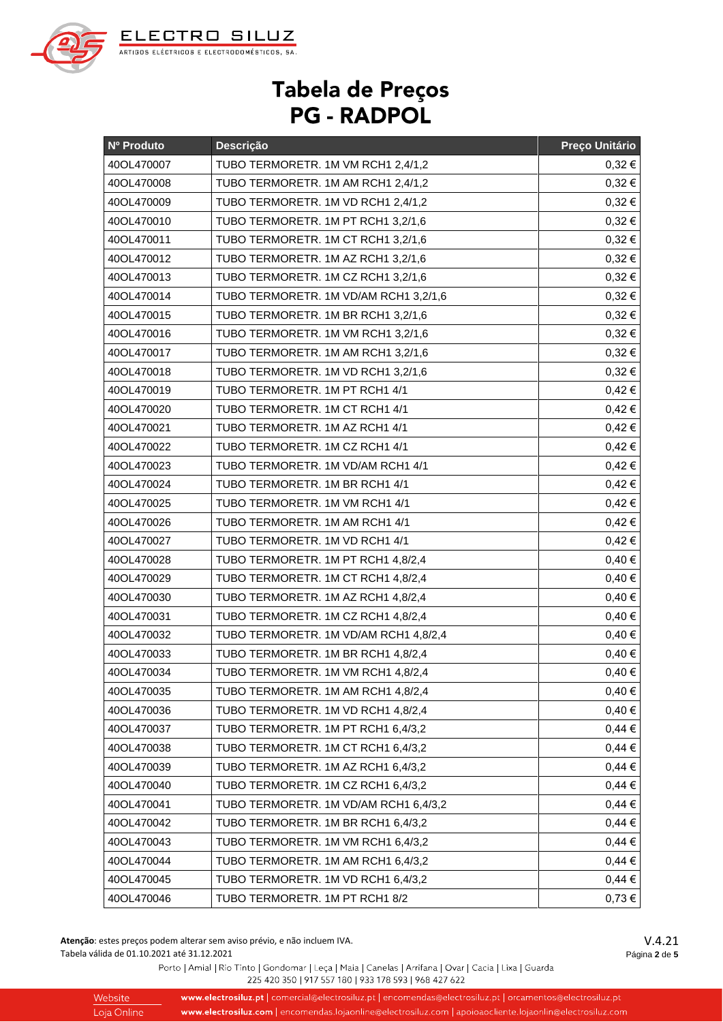

# Tabela de Preços **PG - RADPOL**

| Nº Produto | Descrição                             | Preço Unitário |
|------------|---------------------------------------|----------------|
| 40OL470007 | TUBO TERMORETR. 1M VM RCH1 2,4/1,2    | $0,32 \in$     |
| 40OL470008 | TUBO TERMORETR. 1M AM RCH1 2,4/1,2    | $0,32 \in$     |
| 40OL470009 | TUBO TERMORETR. 1M VD RCH1 2,4/1,2    | $0,32 \in$     |
| 40OL470010 | TUBO TERMORETR. 1M PT RCH1 3,2/1,6    | $0,32 \in$     |
| 40OL470011 | TUBO TERMORETR. 1M CT RCH1 3,2/1,6    | $0,32 \in$     |
| 40OL470012 | TUBO TERMORETR. 1M AZ RCH1 3,2/1,6    | $0,32 \in$     |
| 40OL470013 | TUBO TERMORETR. 1M CZ RCH1 3,2/1,6    | $0,32 \in$     |
| 40OL470014 | TUBO TERMORETR. 1M VD/AM RCH1 3,2/1,6 | $0,32 \in$     |
| 40OL470015 | TUBO TERMORETR. 1M BR RCH1 3,2/1,6    | $0,32 \in$     |
| 40OL470016 | TUBO TERMORETR. 1M VM RCH1 3,2/1,6    | $0,32 \in$     |
| 40OL470017 | TUBO TERMORETR. 1M AM RCH1 3,2/1,6    | $0,32 \in$     |
| 40OL470018 | TUBO TERMORETR. 1M VD RCH1 3,2/1,6    | 0,32€          |
| 40OL470019 | TUBO TERMORETR. 1M PT RCH1 4/1        | 0,42€          |
| 40OL470020 | TUBO TERMORETR. 1M CT RCH1 4/1        | $0,42 \in$     |
| 40OL470021 | TUBO TERMORETR. 1M AZ RCH1 4/1        | $0,42 \in$     |
| 40OL470022 | TUBO TERMORETR. 1M CZ RCH1 4/1        | $0,42 \in$     |
| 40OL470023 | TUBO TERMORETR. 1M VD/AM RCH1 4/1     | $0,42 \in$     |
| 40OL470024 | TUBO TERMORETR. 1M BR RCH1 4/1        | $0,42 \in$     |
| 40OL470025 | TUBO TERMORETR. 1M VM RCH1 4/1        | $0,42 \in$     |
| 40OL470026 | TUBO TERMORETR. 1M AM RCH1 4/1        | $0,42 \in$     |
| 40OL470027 | TUBO TERMORETR. 1M VD RCH1 4/1        | $0,42 \in$     |
| 40OL470028 | TUBO TERMORETR. 1M PT RCH1 4,8/2,4    | 0,40€          |
| 40OL470029 | TUBO TERMORETR. 1M CT RCH1 4,8/2,4    | 0,40€          |
| 40OL470030 | TUBO TERMORETR. 1M AZ RCH1 4,8/2,4    | 0,40€          |
| 40OL470031 | TUBO TERMORETR. 1M CZ RCH1 4,8/2,4    | 0,40€          |
| 40OL470032 | TUBO TERMORETR. 1M VD/AM RCH1 4,8/2,4 | 0,40€          |
| 40OL470033 | TUBO TERMORETR. 1M BR RCH1 4,8/2,4    | 0,40€          |
| 40OL470034 | TUBO TERMORETR. 1M VM RCH1 4,8/2,4    | $0,40 \in$     |
| 40OL470035 | TUBO TERMORETR. 1M AM RCH1 4,8/2,4    | $0,40 \in$     |
| 40OL470036 | TUBO TERMORETR. 1M VD RCH1 4,8/2,4    | $0,40 \in$     |
| 40OL470037 | TUBO TERMORETR. 1M PT RCH1 6,4/3,2    | 0,44€          |
| 40OL470038 | TUBO TERMORETR. 1M CT RCH1 6,4/3,2    | $0,44 \in$     |
| 40OL470039 | TUBO TERMORETR. 1M AZ RCH1 6,4/3,2    | $0,44 \in$     |
| 40OL470040 | TUBO TERMORETR. 1M CZ RCH1 6,4/3,2    | 0,44€          |
| 40OL470041 | TUBO TERMORETR. 1M VD/AM RCH1 6,4/3,2 | 0,44€          |
| 40OL470042 | TUBO TERMORETR. 1M BR RCH1 6,4/3,2    | $0,44 \in$     |
| 40OL470043 | TUBO TERMORETR. 1M VM RCH1 6,4/3,2    | 0,44€          |
| 40OL470044 | TUBO TERMORETR. 1M AM RCH1 6,4/3,2    | $0,44 \in$     |
| 40OL470045 | TUBO TERMORETR. 1M VD RCH1 6,4/3,2    | 0,44€          |
| 40OL470046 | TUBO TERMORETR. 1M PT RCH1 8/2        | $0,73 \in$     |

**Atenção**: estes preços podem alterar sem aviso prévio, e não incluem IVA. Tabela válida de 01.10.2021 até 31.12.2021

V.4.21 Página **2** de **5**

### Porto | Amial | Rio Tinto | Gondomar | Leça | Maia | Canelas | Arrifana | Ovar | Cacia | Lixa | Guarda 225 420 350 | 917 557 180 | 933 178 593 | 968 427 622

Website Loja Online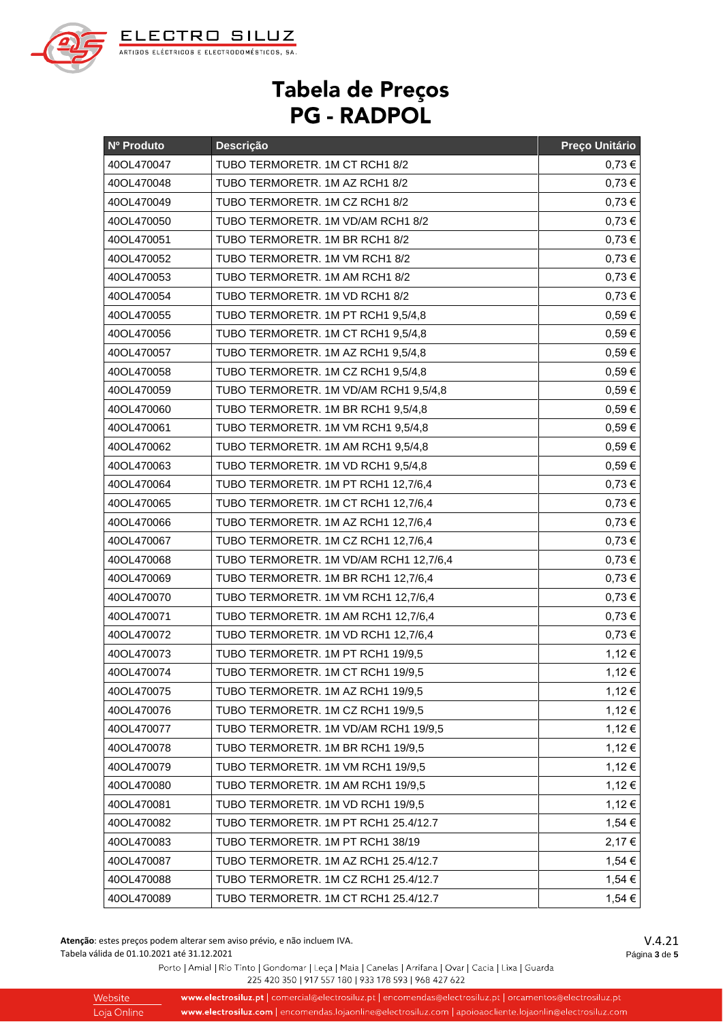

# Tabela de Preços **PG - RADPOL**

| Nº Produto | Descrição                              | Preço Unitário |
|------------|----------------------------------------|----------------|
| 40OL470047 | TUBO TERMORETR. 1M CT RCH1 8/2         | $0,73 \in$     |
| 40OL470048 | TUBO TERMORETR. 1M AZ RCH1 8/2         | $0,73 \in$     |
| 40OL470049 | TUBO TERMORETR. 1M CZ RCH1 8/2         | $0,73 \in$     |
| 40OL470050 | TUBO TERMORETR. 1M VD/AM RCH1 8/2      | $0,73 \in$     |
| 40OL470051 | TUBO TERMORETR. 1M BR RCH1 8/2         | $0,73 \in$     |
| 40OL470052 | TUBO TERMORETR. 1M VM RCH1 8/2         | $0,73 \in$     |
| 40OL470053 | TUBO TERMORETR. 1M AM RCH1 8/2         | $0,73 \in$     |
| 40OL470054 | TUBO TERMORETR. 1M VD RCH1 8/2         | $0,73 \in$     |
| 40OL470055 | TUBO TERMORETR. 1M PT RCH1 9,5/4,8     | $0,59 \in$     |
| 40OL470056 | TUBO TERMORETR. 1M CT RCH1 9,5/4,8     | $0,59 \in$     |
| 40OL470057 | TUBO TERMORETR. 1M AZ RCH1 9,5/4,8     | $0,59 \in$     |
| 40OL470058 | TUBO TERMORETR. 1M CZ RCH1 9,5/4,8     | $0,59 \in$     |
| 40OL470059 | TUBO TERMORETR. 1M VD/AM RCH1 9,5/4,8  | $0,59 \in$     |
| 40OL470060 | TUBO TERMORETR. 1M BR RCH1 9,5/4,8     | $0,59 \in$     |
| 40OL470061 | TUBO TERMORETR. 1M VM RCH1 9,5/4,8     | $0,59 \in$     |
| 40OL470062 | TUBO TERMORETR. 1M AM RCH1 9,5/4,8     | $0,59 \in$     |
| 40OL470063 | TUBO TERMORETR. 1M VD RCH1 9,5/4,8     | $0,59 \in$     |
| 40OL470064 | TUBO TERMORETR. 1M PT RCH1 12,7/6,4    | $0,73 \in$     |
| 40OL470065 | TUBO TERMORETR. 1M CT RCH1 12,7/6,4    | $0,73 \in$     |
| 40OL470066 | TUBO TERMORETR. 1M AZ RCH1 12,7/6,4    | $0,73 \in$     |
| 40OL470067 | TUBO TERMORETR. 1M CZ RCH1 12,7/6,4    | $0,73 \in$     |
| 40OL470068 | TUBO TERMORETR. 1M VD/AM RCH1 12,7/6,4 | $0,73 \in$     |
| 40OL470069 | TUBO TERMORETR. 1M BR RCH1 12,7/6,4    | $0,73 \in$     |
| 40OL470070 | TUBO TERMORETR. 1M VM RCH1 12,7/6,4    | $0,73 \in$     |
| 40OL470071 | TUBO TERMORETR. 1M AM RCH1 12,7/6,4    | $0,73 \in$     |
| 40OL470072 | TUBO TERMORETR. 1M VD RCH1 12,7/6,4    | $0,73 \in$     |
| 40OL470073 | TUBO TERMORETR. 1M PT RCH1 19/9,5      | 1,12€          |
| 40OL470074 | TUBO TERMORETR. 1M CT RCH1 19/9,5      | 1,12€          |
| 40OL470075 | TUBO TERMORETR. 1M AZ RCH1 19/9,5      | 1,12€          |
| 40OL470076 | TUBO TERMORETR. 1M CZ RCH1 19/9,5      | 1,12€          |
| 40OL470077 | TUBO TERMORETR. 1M VD/AM RCH1 19/9,5   | 1,12€          |
| 40OL470078 | TUBO TERMORETR. 1M BR RCH1 19/9,5      | 1,12€          |
| 40OL470079 | TUBO TERMORETR. 1M VM RCH1 19/9,5      | 1,12€          |
| 40OL470080 | TUBO TERMORETR. 1M AM RCH1 19/9,5      | 1,12€          |
| 40OL470081 | TUBO TERMORETR. 1M VD RCH1 19/9,5      | 1,12€          |
| 40OL470082 | TUBO TERMORETR. 1M PT RCH1 25.4/12.7   | 1,54 €         |
| 40OL470083 | TUBO TERMORETR. 1M PT RCH1 38/19       | 2,17€          |
| 40OL470087 | TUBO TERMORETR. 1M AZ RCH1 25.4/12.7   | 1,54 €         |
| 40OL470088 | TUBO TERMORETR. 1M CZ RCH1 25.4/12.7   | 1,54 €         |
| 40OL470089 | TUBO TERMORETR. 1M CT RCH1 25.4/12.7   | 1,54 €         |

**Atenção**: estes preços podem alterar sem aviso prévio, e não incluem IVA. Tabela válida de 01.10.2021 até 31.12.2021

V.4.21 Página **3** de **5**

### Porto | Amial | Rio Tinto | Gondomar | Leça | Maia | Canelas | Arrifana | Ovar | Cacia | Lixa | Guarda 225 420 350 | 917 557 180 | 933 178 593 | 968 427 622

Website Loja Online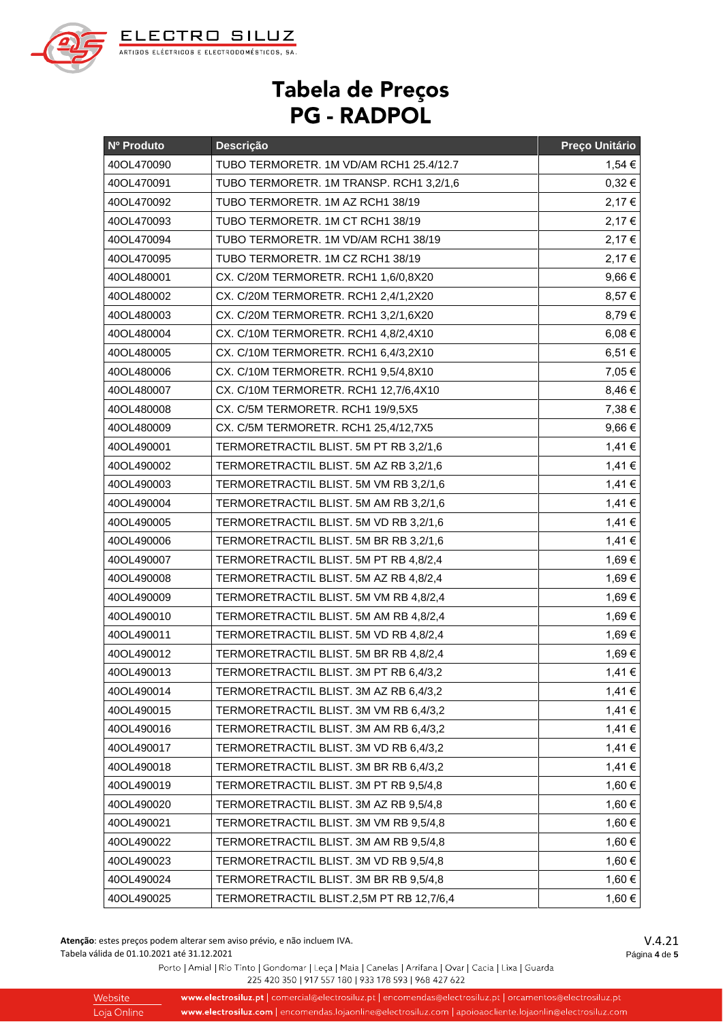

# Tabela de Preços **PG - RADPOL**

| Nº Produto | Descrição                                | Preço Unitário |
|------------|------------------------------------------|----------------|
| 40OL470090 | TUBO TERMORETR. 1M VD/AM RCH1 25.4/12.7  | 1,54 €         |
| 40OL470091 | TUBO TERMORETR. 1M TRANSP. RCH1 3,2/1,6  | $0,32 \in$     |
| 40OL470092 | TUBO TERMORETR. 1M AZ RCH1 38/19         | 2,17 €         |
| 40OL470093 | TUBO TERMORETR. 1M CT RCH1 38/19         | 2,17 €         |
| 40OL470094 | TUBO TERMORETR. 1M VD/AM RCH1 38/19      | 2,17€          |
| 40OL470095 | TUBO TERMORETR. 1M CZ RCH1 38/19         | 2,17€          |
| 40OL480001 | CX. C/20M TERMORETR. RCH1 1,6/0,8X20     | 9,66€          |
| 40OL480002 | CX. C/20M TERMORETR. RCH1 2,4/1,2X20     | 8,57€          |
| 40OL480003 | CX. C/20M TERMORETR. RCH1 3,2/1,6X20     | 8,79€          |
| 40OL480004 | CX. C/10M TERMORETR. RCH1 4,8/2,4X10     | $6,08 \in$     |
| 40OL480005 | CX. C/10M TERMORETR. RCH1 6,4/3,2X10     | 6,51€          |
| 40OL480006 | CX. C/10M TERMORETR. RCH1 9,5/4,8X10     | 7,05€          |
| 40OL480007 | CX. C/10M TERMORETR. RCH1 12,7/6,4X10    | 8,46€          |
| 40OL480008 | CX. C/5M TERMORETR. RCH1 19/9,5X5        | 7,38 €         |
| 40OL480009 | CX. C/5M TERMORETR. RCH1 25,4/12,7X5     | 9,66 €         |
| 40OL490001 | TERMORETRACTIL BLIST. 5M PT RB 3,2/1,6   | 1,41€          |
| 40OL490002 | TERMORETRACTIL BLIST. 5M AZ RB 3,2/1,6   | 1,41€          |
| 40OL490003 | TERMORETRACTIL BLIST. 5M VM RB 3,2/1,6   | 1,41€          |
| 40OL490004 | TERMORETRACTIL BLIST. 5M AM RB 3,2/1,6   | 1,41€          |
| 40OL490005 | TERMORETRACTIL BLIST. 5M VD RB 3,2/1,6   | 1,41€          |
| 40OL490006 | TERMORETRACTIL BLIST. 5M BR RB 3,2/1,6   | 1,41€          |
| 40OL490007 | TERMORETRACTIL BLIST. 5M PT RB 4,8/2,4   | 1,69€          |
| 40OL490008 | TERMORETRACTIL BLIST. 5M AZ RB 4,8/2,4   | 1,69€          |
| 40OL490009 | TERMORETRACTIL BLIST. 5M VM RB 4,8/2,4   | 1,69€          |
| 40OL490010 | TERMORETRACTIL BLIST. 5M AM RB 4,8/2,4   | 1,69€          |
| 40OL490011 | TERMORETRACTIL BLIST. 5M VD RB 4,8/2,4   | 1,69€          |
| 40OL490012 | TERMORETRACTIL BLIST. 5M BR RB 4,8/2,4   | 1,69 €         |
| 40OL490013 | TERMORETRACTIL BLIST. 3M PT RB 6,4/3,2   | 1,41€          |
| 40OL490014 | TERMORETRACTIL BLIST. 3M AZ RB 6,4/3,2   | 1,41€          |
| 40OL490015 | TERMORETRACTIL BLIST. 3M VM RB 6,4/3,2   | 1,41€          |
| 40OL490016 | TERMORETRACTIL BLIST. 3M AM RB 6,4/3,2   | 1,41€          |
| 40OL490017 | TERMORETRACTIL BLIST. 3M VD RB 6,4/3,2   | 1,41€          |
| 40OL490018 | TERMORETRACTIL BLIST. 3M BR RB 6,4/3,2   | 1,41€          |
| 40OL490019 | TERMORETRACTIL BLIST. 3M PT RB 9,5/4,8   | 1,60 €         |
| 40OL490020 | TERMORETRACTIL BLIST. 3M AZ RB 9,5/4,8   | 1,60 €         |
| 40OL490021 | TERMORETRACTIL BLIST. 3M VM RB 9,5/4,8   | 1,60 €         |
| 40OL490022 | TERMORETRACTIL BLIST. 3M AM RB 9,5/4,8   | 1,60 €         |
| 40OL490023 | TERMORETRACTIL BLIST. 3M VD RB 9,5/4,8   | 1,60 €         |
| 40OL490024 | TERMORETRACTIL BLIST. 3M BR RB 9,5/4,8   | 1,60 €         |
| 40OL490025 | TERMORETRACTIL BLIST.2,5M PT RB 12,7/6,4 | 1,60 €         |

**Atenção**: estes preços podem alterar sem aviso prévio, e não incluem IVA. Tabela válida de 01.10.2021 até 31.12.2021

V.4.21 Página **4** de **5**

### Porto | Amial | Rio Tinto | Gondomar | Leça | Maia | Canelas | Arrifana | Ovar | Cacia | Lixa | Guarda 225 420 350 | 917 557 180 | 933 178 593 | 968 427 622

Website Loja Online